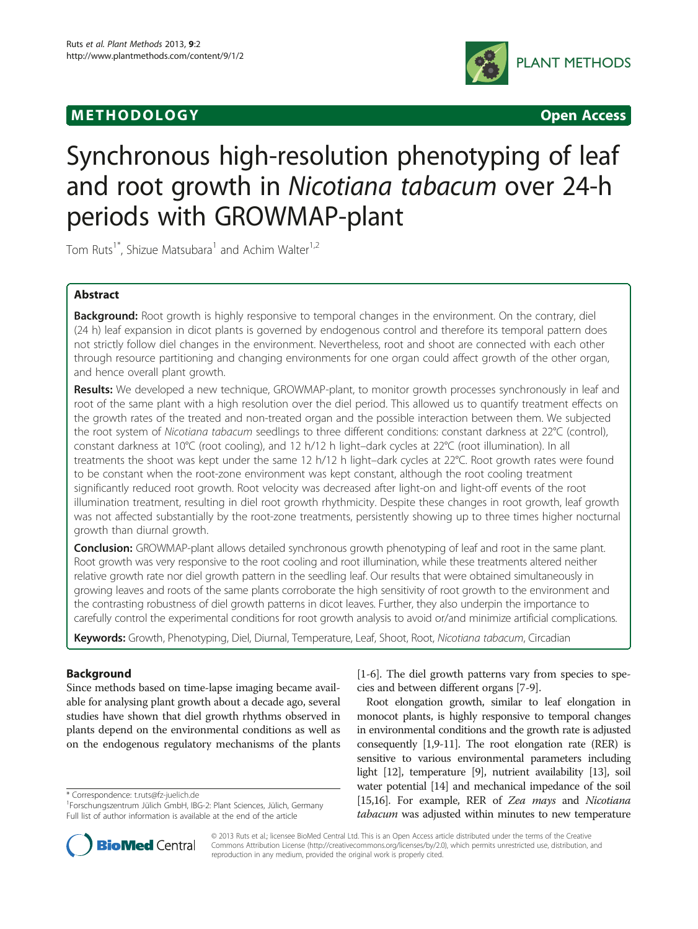# **METHODOLOGY CONSUMING ACCESS**



# Synchronous high-resolution phenotyping of leaf and root growth in Nicotiana tabacum over 24-h periods with GROWMAP-plant

Tom Ruts<sup>1\*</sup>, Shizue Matsubara<sup>1</sup> and Achim Walter<sup>1,2</sup>

# Abstract

Background: Root growth is highly responsive to temporal changes in the environment. On the contrary, diel (24 h) leaf expansion in dicot plants is governed by endogenous control and therefore its temporal pattern does not strictly follow diel changes in the environment. Nevertheless, root and shoot are connected with each other through resource partitioning and changing environments for one organ could affect growth of the other organ, and hence overall plant growth.

Results: We developed a new technique, GROWMAP-plant, to monitor growth processes synchronously in leaf and root of the same plant with a high resolution over the diel period. This allowed us to quantify treatment effects on the growth rates of the treated and non-treated organ and the possible interaction between them. We subjected the root system of Nicotiana tabacum seedlings to three different conditions: constant darkness at 22°C (control), constant darkness at 10°C (root cooling), and 12 h/12 h light–dark cycles at 22°C (root illumination). In all treatments the shoot was kept under the same 12 h/12 h light–dark cycles at 22°C. Root growth rates were found to be constant when the root-zone environment was kept constant, although the root cooling treatment significantly reduced root growth. Root velocity was decreased after light-on and light-off events of the root illumination treatment, resulting in diel root growth rhythmicity. Despite these changes in root growth, leaf growth was not affected substantially by the root-zone treatments, persistently showing up to three times higher nocturnal growth than diurnal growth.

**Conclusion:** GROWMAP-plant allows detailed synchronous growth phenotyping of leaf and root in the same plant. Root growth was very responsive to the root cooling and root illumination, while these treatments altered neither relative growth rate nor diel growth pattern in the seedling leaf. Our results that were obtained simultaneously in growing leaves and roots of the same plants corroborate the high sensitivity of root growth to the environment and the contrasting robustness of diel growth patterns in dicot leaves. Further, they also underpin the importance to carefully control the experimental conditions for root growth analysis to avoid or/and minimize artificial complications.

Keywords: Growth, Phenotyping, Diel, Diurnal, Temperature, Leaf, Shoot, Root, Nicotiana tabacum, Circadian

# Background

Since methods based on time-lapse imaging became available for analysing plant growth about a decade ago, several studies have shown that diel growth rhythms observed in plants depend on the environmental conditions as well as on the endogenous regulatory mechanisms of the plants

\* Correspondence: [t.ruts@fz-juelich.de](mailto:t.ruts@fz-juelich.de) <sup>1</sup>



Root elongation growth, similar to leaf elongation in monocot plants, is highly responsive to temporal changes in environmental conditions and the growth rate is adjusted consequently [[1,9](#page-6-0)-[11](#page-6-0)]. The root elongation rate (RER) is sensitive to various environmental parameters including light [\[12\]](#page-6-0), temperature [[9](#page-6-0)], nutrient availability [[13](#page-6-0)], soil water potential [[14\]](#page-6-0) and mechanical impedance of the soil [[15,16\]](#page-7-0). For example, RER of Zea mays and Nicotiana tabacum was adjusted within minutes to new temperature



© 2013 Ruts et al.; licensee BioMed Central Ltd. This is an Open Access article distributed under the terms of the Creative Commons Attribution License [\(http://creativecommons.org/licenses/by/2.0\)](http://creativecommons.org/licenses/by/2.0), which permits unrestricted use, distribution, and reproduction in any medium, provided the original work is properly cited.

<sup>&</sup>lt;sup>1</sup>Forschungszentrum Jülich GmbH, IBG-2: Plant Sciences, Jülich, Germany Full list of author information is available at the end of the article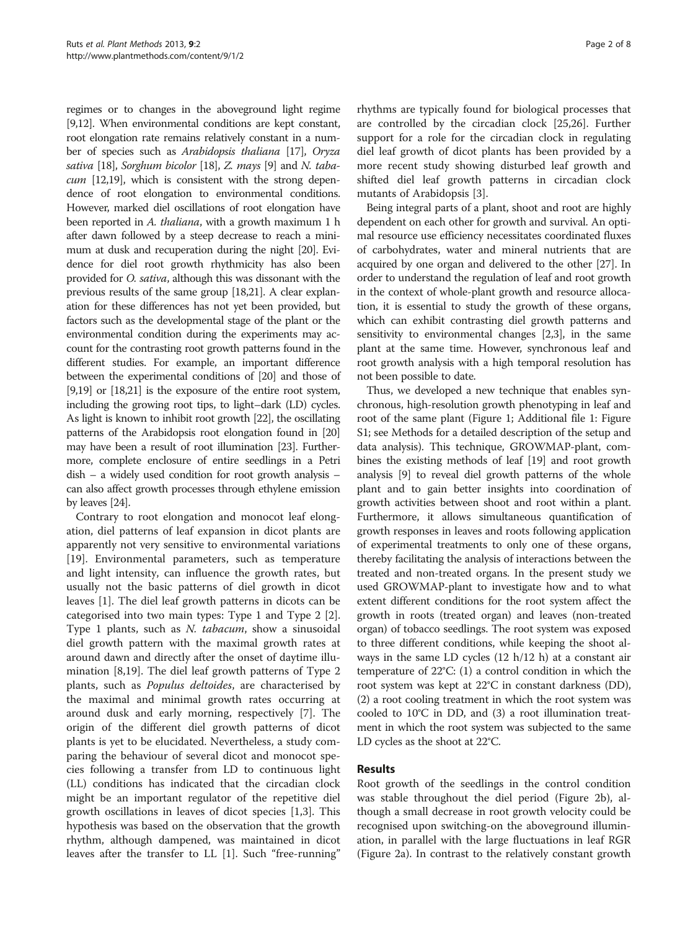regimes or to changes in the aboveground light regime [[9,12\]](#page-6-0). When environmental conditions are kept constant, root elongation rate remains relatively constant in a number of species such as Arabidopsis thaliana [\[17\]](#page-7-0), Oryza sativa [\[18](#page-7-0)], Sorghum bicolor [\[18\]](#page-7-0), Z. mays [[9](#page-6-0)] and N. tabacum [\[12,](#page-6-0)[19](#page-7-0)], which is consistent with the strong dependence of root elongation to environmental conditions. However, marked diel oscillations of root elongation have been reported in A. thaliana, with a growth maximum 1 h after dawn followed by a steep decrease to reach a minimum at dusk and recuperation during the night [\[20\]](#page-7-0). Evidence for diel root growth rhythmicity has also been provided for O. sativa, although this was dissonant with the previous results of the same group [[18,21](#page-7-0)]. A clear explanation for these differences has not yet been provided, but factors such as the developmental stage of the plant or the environmental condition during the experiments may account for the contrasting root growth patterns found in the different studies. For example, an important difference between the experimental conditions of [\[20\]](#page-7-0) and those of [[9](#page-6-0)[,19\]](#page-7-0) or [\[18,21](#page-7-0)] is the exposure of the entire root system, including the growing root tips, to light–dark (LD) cycles. As light is known to inhibit root growth [\[22\]](#page-7-0), the oscillating patterns of the Arabidopsis root elongation found in [\[20](#page-7-0)] may have been a result of root illumination [[23](#page-7-0)]. Furthermore, complete enclosure of entire seedlings in a Petri dish – a widely used condition for root growth analysis – can also affect growth processes through ethylene emission by leaves [\[24](#page-7-0)].

Contrary to root elongation and monocot leaf elongation, diel patterns of leaf expansion in dicot plants are apparently not very sensitive to environmental variations [[19\]](#page-7-0). Environmental parameters, such as temperature and light intensity, can influence the growth rates, but usually not the basic patterns of diel growth in dicot leaves [\[1](#page-6-0)]. The diel leaf growth patterns in dicots can be categorised into two main types: Type 1 and Type 2 [\[2](#page-6-0)]. Type 1 plants, such as N. tabacum, show a sinusoidal diel growth pattern with the maximal growth rates at around dawn and directly after the onset of daytime illumination [\[8](#page-6-0)[,19\]](#page-7-0). The diel leaf growth patterns of Type 2 plants, such as Populus deltoides, are characterised by the maximal and minimal growth rates occurring at around dusk and early morning, respectively [[7\]](#page-6-0). The origin of the different diel growth patterns of dicot plants is yet to be elucidated. Nevertheless, a study comparing the behaviour of several dicot and monocot species following a transfer from LD to continuous light (LL) conditions has indicated that the circadian clock might be an important regulator of the repetitive diel growth oscillations in leaves of dicot species [\[1,3](#page-6-0)]. This hypothesis was based on the observation that the growth rhythm, although dampened, was maintained in dicot leaves after the transfer to LL [[1\]](#page-6-0). Such "free-running"

rhythms are typically found for biological processes that are controlled by the circadian clock [\[25,26](#page-7-0)]. Further support for a role for the circadian clock in regulating diel leaf growth of dicot plants has been provided by a more recent study showing disturbed leaf growth and shifted diel leaf growth patterns in circadian clock mutants of Arabidopsis [[3\]](#page-6-0).

Being integral parts of a plant, shoot and root are highly dependent on each other for growth and survival. An optimal resource use efficiency necessitates coordinated fluxes of carbohydrates, water and mineral nutrients that are acquired by one organ and delivered to the other [[27\]](#page-7-0). In order to understand the regulation of leaf and root growth in the context of whole-plant growth and resource allocation, it is essential to study the growth of these organs, which can exhibit contrasting diel growth patterns and sensitivity to environmental changes [\[2,3](#page-6-0)], in the same plant at the same time. However, synchronous leaf and root growth analysis with a high temporal resolution has not been possible to date.

Thus, we developed a new technique that enables synchronous, high-resolution growth phenotyping in leaf and root of the same plant (Figure [1](#page-2-0); Additional file [1:](#page-6-0) Figure S1; see [Methods](#page-5-0) for a detailed description of the setup and data analysis). This technique, GROWMAP-plant, combines the existing methods of leaf [\[19](#page-7-0)] and root growth analysis [\[9\]](#page-6-0) to reveal diel growth patterns of the whole plant and to gain better insights into coordination of growth activities between shoot and root within a plant. Furthermore, it allows simultaneous quantification of growth responses in leaves and roots following application of experimental treatments to only one of these organs, thereby facilitating the analysis of interactions between the treated and non-treated organs. In the present study we used GROWMAP-plant to investigate how and to what extent different conditions for the root system affect the growth in roots (treated organ) and leaves (non-treated organ) of tobacco seedlings. The root system was exposed to three different conditions, while keeping the shoot always in the same LD cycles (12 h/12 h) at a constant air temperature of 22°C: (1) a control condition in which the root system was kept at 22°C in constant darkness (DD), (2) a root cooling treatment in which the root system was cooled to 10°C in DD, and (3) a root illumination treatment in which the root system was subjected to the same LD cycles as the shoot at 22°C.

# Results

Root growth of the seedlings in the control condition was stable throughout the diel period (Figure [2b](#page-2-0)), although a small decrease in root growth velocity could be recognised upon switching-on the aboveground illumination, in parallel with the large fluctuations in leaf RGR (Figure [2a](#page-2-0)). In contrast to the relatively constant growth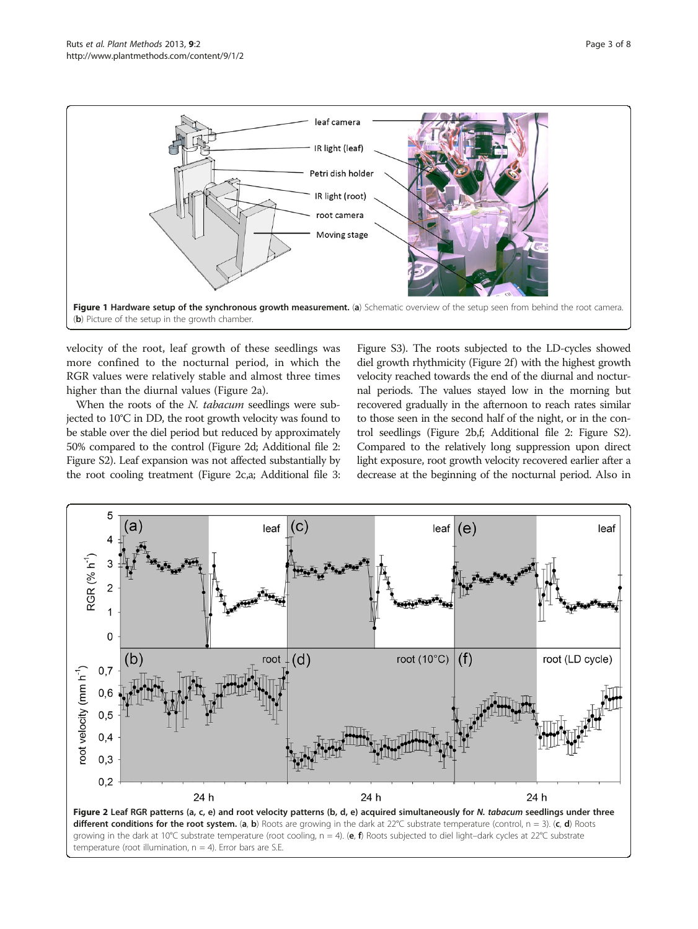<span id="page-2-0"></span>

velocity of the root, leaf growth of these seedlings was more confined to the nocturnal period, in which the RGR values were relatively stable and almost three times higher than the diurnal values (Figure 2a).

When the roots of the N. tabacum seedlings were subjected to 10°C in DD, the root growth velocity was found to be stable over the diel period but reduced by approximately 50% compared to the control (Figure 2d; Additional file [2](#page-6-0): Figure S2). Leaf expansion was not affected substantially by the root cooling treatment (Figure 2c,a; Additional file [3](#page-6-0):

Figure S3). The roots subjected to the LD-cycles showed diel growth rhythmicity (Figure 2f) with the highest growth velocity reached towards the end of the diurnal and nocturnal periods. The values stayed low in the morning but recovered gradually in the afternoon to reach rates similar to those seen in the second half of the night, or in the control seedlings (Figure 2b,f; Additional file [2:](#page-6-0) Figure S2). Compared to the relatively long suppression upon direct light exposure, root growth velocity recovered earlier after a decrease at the beginning of the nocturnal period. Also in

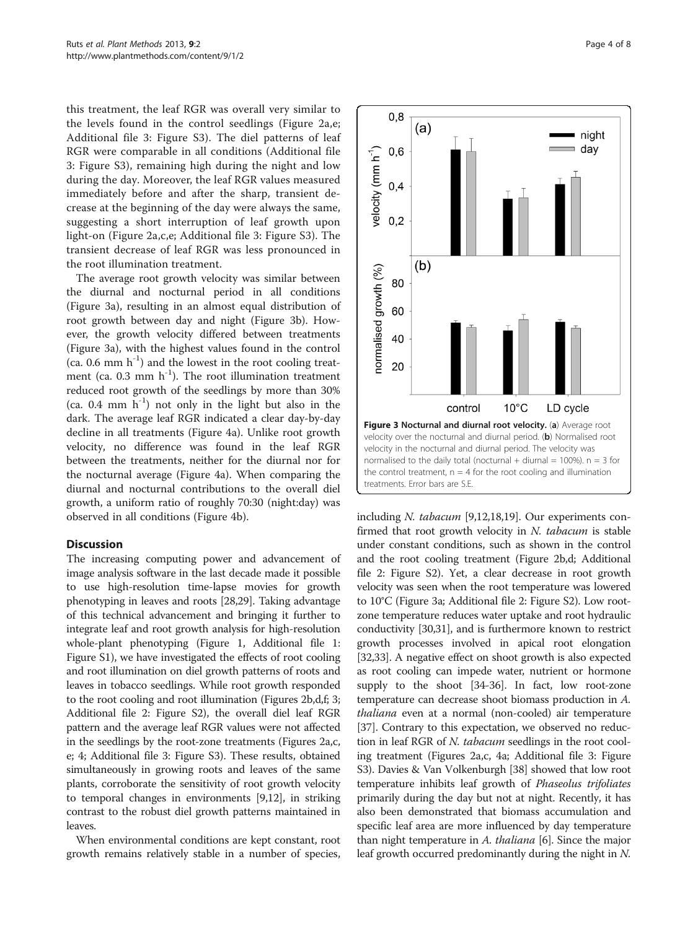<span id="page-3-0"></span>this treatment, the leaf RGR was overall very similar to the levels found in the control seedlings (Figure [2a](#page-2-0),e; Additional file [3](#page-6-0): Figure S3). The diel patterns of leaf RGR were comparable in all conditions (Additional file [3:](#page-6-0) Figure S3), remaining high during the night and low during the day. Moreover, the leaf RGR values measured immediately before and after the sharp, transient decrease at the beginning of the day were always the same, suggesting a short interruption of leaf growth upon light-on (Figure [2](#page-2-0)a,c,e; Additional file [3](#page-6-0): Figure S3). The transient decrease of leaf RGR was less pronounced in the root illumination treatment.

The average root growth velocity was similar between the diurnal and nocturnal period in all conditions (Figure 3a), resulting in an almost equal distribution of root growth between day and night (Figure 3b). However, the growth velocity differed between treatments (Figure 3a), with the highest values found in the control (ca. 0.6 mm  $h^{-1}$ ) and the lowest in the root cooling treatment (ca.  $0.3$  mm h<sup>-1</sup>). The root illumination treatment reduced root growth of the seedlings by more than 30% (ca. 0.4 mm  $h^{-1}$ ) not only in the light but also in the dark. The average leaf RGR indicated a clear day-by-day decline in all treatments (Figure [4a](#page-4-0)). Unlike root growth velocity, no difference was found in the leaf RGR between the treatments, neither for the diurnal nor for the nocturnal average (Figure [4](#page-4-0)a). When comparing the diurnal and nocturnal contributions to the overall diel growth, a uniform ratio of roughly 70:30 (night:day) was observed in all conditions (Figure [4b](#page-4-0)).

# **Discussion**

The increasing computing power and advancement of image analysis software in the last decade made it possible to use high-resolution time-lapse movies for growth phenotyping in leaves and roots [\[28,29](#page-7-0)]. Taking advantage of this technical advancement and bringing it further to integrate leaf and root growth analysis for high-resolution whole-plant phenotyping (Figure [1](#page-2-0), Additional file [1](#page-6-0): Figure S1), we have investigated the effects of root cooling and root illumination on diel growth patterns of roots and leaves in tobacco seedlings. While root growth responded to the root cooling and root illumination (Figures [2b](#page-2-0),d,f; 3; Additional file [2](#page-6-0): Figure S2), the overall diel leaf RGR pattern and the average leaf RGR values were not affected in the seedlings by the root-zone treatments (Figures [2](#page-2-0)a,c, e; [4](#page-4-0); Additional file [3](#page-6-0): Figure S3). These results, obtained simultaneously in growing roots and leaves of the same plants, corroborate the sensitivity of root growth velocity to temporal changes in environments [[9](#page-6-0),[12](#page-6-0)], in striking contrast to the robust diel growth patterns maintained in leaves.

When environmental conditions are kept constant, root growth remains relatively stable in a number of species,



including *N. tabacum* [[9,12](#page-6-0)[,18,19\]](#page-7-0). Our experiments confirmed that root growth velocity in N. tabacum is stable under constant conditions, such as shown in the control and the root cooling treatment (Figure [2b](#page-2-0),d; Additional file [2](#page-6-0): Figure S2). Yet, a clear decrease in root growth velocity was seen when the root temperature was lowered to 10°C (Figure 3a; Additional file [2:](#page-6-0) Figure S2). Low rootzone temperature reduces water uptake and root hydraulic conductivity [\[30,31](#page-7-0)], and is furthermore known to restrict growth processes involved in apical root elongation [[32,33](#page-7-0)]. A negative effect on shoot growth is also expected as root cooling can impede water, nutrient or hormone supply to the shoot [[34](#page-7-0)-[36](#page-7-0)]. In fact, low root-zone temperature can decrease shoot biomass production in A. thaliana even at a normal (non-cooled) air temperature [[37](#page-7-0)]. Contrary to this expectation, we observed no reduction in leaf RGR of N. tabacum seedlings in the root cooling treatment (Figures [2](#page-2-0)a,c, [4](#page-4-0)a; Additional file [3:](#page-6-0) Figure S3). Davies & Van Volkenburgh [[38](#page-7-0)] showed that low root temperature inhibits leaf growth of Phaseolus trifoliates primarily during the day but not at night. Recently, it has also been demonstrated that biomass accumulation and specific leaf area are more influenced by day temperature than night temperature in A. thaliana [[6\]](#page-6-0). Since the major leaf growth occurred predominantly during the night in N.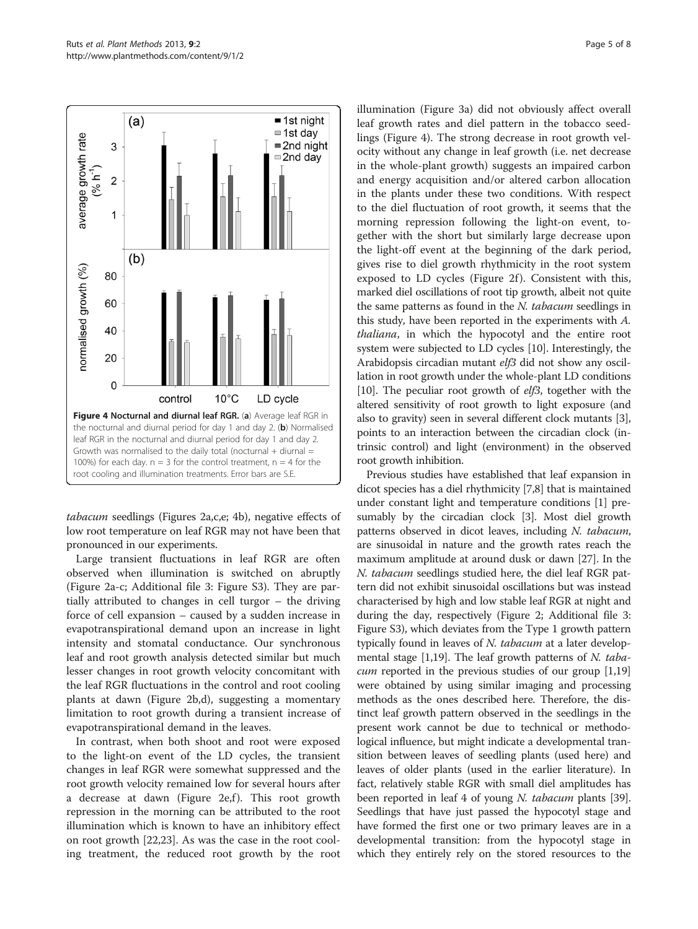<span id="page-4-0"></span>

tabacum seedlings (Figures [2a](#page-2-0),c,e; 4b), negative effects of low root temperature on leaf RGR may not have been that pronounced in our experiments.

Large transient fluctuations in leaf RGR are often observed when illumination is switched on abruptly (Figure [2](#page-2-0)a-c; Additional file [3:](#page-6-0) Figure S3). They are partially attributed to changes in cell turgor – the driving force of cell expansion – caused by a sudden increase in evapotranspirational demand upon an increase in light intensity and stomatal conductance. Our synchronous leaf and root growth analysis detected similar but much lesser changes in root growth velocity concomitant with the leaf RGR fluctuations in the control and root cooling plants at dawn (Figure [2](#page-2-0)b,d), suggesting a momentary limitation to root growth during a transient increase of evapotranspirational demand in the leaves.

In contrast, when both shoot and root were exposed to the light-on event of the LD cycles, the transient changes in leaf RGR were somewhat suppressed and the root growth velocity remained low for several hours after a decrease at dawn (Figure [2](#page-2-0)e,f). This root growth repression in the morning can be attributed to the root illumination which is known to have an inhibitory effect on root growth [\[22,23\]](#page-7-0). As was the case in the root cooling treatment, the reduced root growth by the root illumination (Figure [3](#page-3-0)a) did not obviously affect overall leaf growth rates and diel pattern in the tobacco seedlings (Figure 4). The strong decrease in root growth velocity without any change in leaf growth (i.e. net decrease in the whole-plant growth) suggests an impaired carbon and energy acquisition and/or altered carbon allocation in the plants under these two conditions. With respect to the diel fluctuation of root growth, it seems that the morning repression following the light-on event, together with the short but similarly large decrease upon the light-off event at the beginning of the dark period, gives rise to diel growth rhythmicity in the root system exposed to LD cycles (Figure [2](#page-2-0)f). Consistent with this, marked diel oscillations of root tip growth, albeit not quite the same patterns as found in the N. tabacum seedlings in this study, have been reported in the experiments with A. thaliana, in which the hypocotyl and the entire root system were subjected to LD cycles [\[10](#page-6-0)]. Interestingly, the Arabidopsis circadian mutant elf3 did not show any oscillation in root growth under the whole-plant LD conditions [[10](#page-6-0)]. The peculiar root growth of elf3, together with the altered sensitivity of root growth to light exposure (and also to gravity) seen in several different clock mutants [[3](#page-6-0)], points to an interaction between the circadian clock (intrinsic control) and light (environment) in the observed root growth inhibition.

Previous studies have established that leaf expansion in dicot species has a diel rhythmicity [\[7,8](#page-6-0)] that is maintained under constant light and temperature conditions [\[1](#page-6-0)] presumably by the circadian clock [\[3](#page-6-0)]. Most diel growth patterns observed in dicot leaves, including N. tabacum, are sinusoidal in nature and the growth rates reach the maximum amplitude at around dusk or dawn [\[27\]](#page-7-0). In the N. tabacum seedlings studied here, the diel leaf RGR pattern did not exhibit sinusoidal oscillations but was instead characterised by high and low stable leaf RGR at night and during the day, respectively (Figure [2;](#page-2-0) Additional file [3](#page-6-0): Figure S3), which deviates from the Type 1 growth pattern typically found in leaves of N. tabacum at a later develop-mental stage [[1](#page-6-0)[,19](#page-7-0)]. The leaf growth patterns of N. tabacum reported in the previous studies of our group [\[1,](#page-6-0)[19](#page-7-0)] were obtained by using similar imaging and processing methods as the ones described here. Therefore, the distinct leaf growth pattern observed in the seedlings in the present work cannot be due to technical or methodological influence, but might indicate a developmental transition between leaves of seedling plants (used here) and leaves of older plants (used in the earlier literature). In fact, relatively stable RGR with small diel amplitudes has been reported in leaf 4 of young N. tabacum plants [[39](#page-7-0)]. Seedlings that have just passed the hypocotyl stage and have formed the first one or two primary leaves are in a developmental transition: from the hypocotyl stage in which they entirely rely on the stored resources to the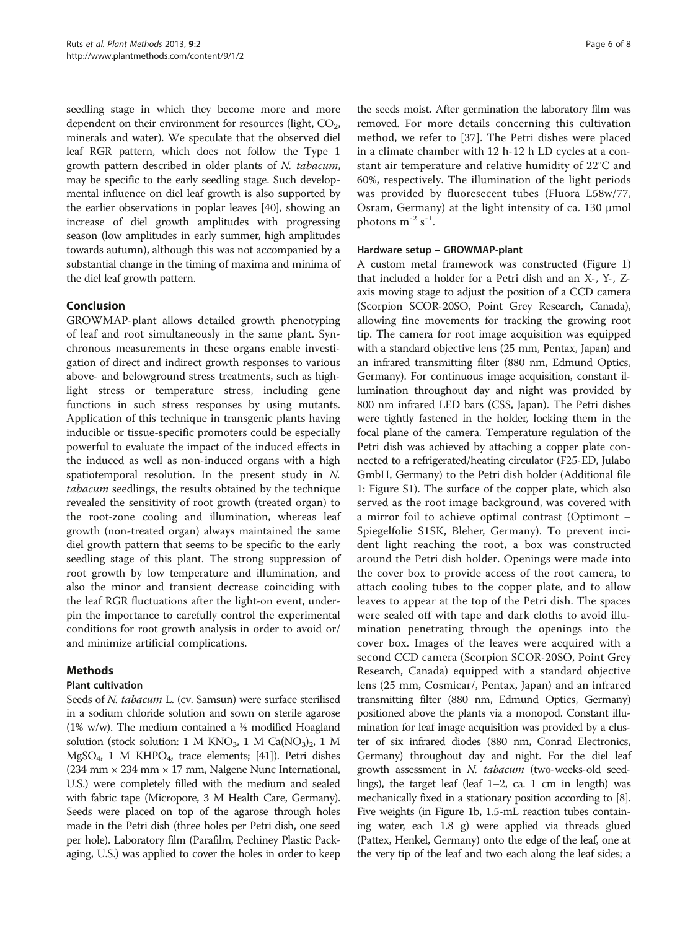<span id="page-5-0"></span>seedling stage in which they become more and more dependent on their environment for resources (light,  $CO<sub>2</sub>$ , minerals and water). We speculate that the observed diel leaf RGR pattern, which does not follow the Type 1 growth pattern described in older plants of N. tabacum, may be specific to the early seedling stage. Such developmental influence on diel leaf growth is also supported by the earlier observations in poplar leaves [[40](#page-7-0)], showing an increase of diel growth amplitudes with progressing season (low amplitudes in early summer, high amplitudes towards autumn), although this was not accompanied by a substantial change in the timing of maxima and minima of the diel leaf growth pattern.

# Conclusion

GROWMAP-plant allows detailed growth phenotyping of leaf and root simultaneously in the same plant. Synchronous measurements in these organs enable investigation of direct and indirect growth responses to various above- and belowground stress treatments, such as highlight stress or temperature stress, including gene functions in such stress responses by using mutants. Application of this technique in transgenic plants having inducible or tissue-specific promoters could be especially powerful to evaluate the impact of the induced effects in the induced as well as non-induced organs with a high spatiotemporal resolution. In the present study in N. tabacum seedlings, the results obtained by the technique revealed the sensitivity of root growth (treated organ) to the root-zone cooling and illumination, whereas leaf growth (non-treated organ) always maintained the same diel growth pattern that seems to be specific to the early seedling stage of this plant. The strong suppression of root growth by low temperature and illumination, and also the minor and transient decrease coinciding with the leaf RGR fluctuations after the light-on event, underpin the importance to carefully control the experimental conditions for root growth analysis in order to avoid or/ and minimize artificial complications.

# Methods

# Plant cultivation

Seeds of *N. tabacum* L. (cv. Samsun) were surface sterilised in a sodium chloride solution and sown on sterile agarose (1% w/w). The medium contained a ⅓ modified Hoagland solution (stock solution: 1 M KNO<sub>3</sub>, 1 M Ca(NO<sub>3</sub>)<sub>2</sub>, 1 M  $MgSO_4$ , 1 M KHPO<sub>4</sub>, trace elements; [\[41\]](#page-7-0)). Petri dishes  $(234 \text{ mm} \times 234 \text{ mm} \times 17 \text{ mm}$ , Nalgene Nunc International, U.S.) were completely filled with the medium and sealed with fabric tape (Micropore, 3 M Health Care, Germany). Seeds were placed on top of the agarose through holes made in the Petri dish (three holes per Petri dish, one seed per hole). Laboratory film (Parafilm, Pechiney Plastic Packaging, U.S.) was applied to cover the holes in order to keep

the seeds moist. After germination the laboratory film was removed. For more details concerning this cultivation method, we refer to [\[37](#page-7-0)]. The Petri dishes were placed in a climate chamber with 12 h-12 h LD cycles at a constant air temperature and relative humidity of 22°C and 60%, respectively. The illumination of the light periods was provided by fluoresecent tubes (Fluora L58w/77, Osram, Germany) at the light intensity of ca. 130 μmol photons  $m^{-2} s^{-1}$ .

#### Hardware setup – GROWMAP-plant

A custom metal framework was constructed (Figure [1](#page-2-0)) that included a holder for a Petri dish and an X-, Y-, Zaxis moving stage to adjust the position of a CCD camera (Scorpion SCOR-20SO, Point Grey Research, Canada), allowing fine movements for tracking the growing root tip. The camera for root image acquisition was equipped with a standard objective lens (25 mm, Pentax, Japan) and an infrared transmitting filter (880 nm, Edmund Optics, Germany). For continuous image acquisition, constant illumination throughout day and night was provided by 800 nm infrared LED bars (CSS, Japan). The Petri dishes were tightly fastened in the holder, locking them in the focal plane of the camera. Temperature regulation of the Petri dish was achieved by attaching a copper plate connected to a refrigerated/heating circulator (F25-ED, Julabo GmbH, Germany) to the Petri dish holder (Additional file [1:](#page-6-0) Figure S1). The surface of the copper plate, which also served as the root image background, was covered with a mirror foil to achieve optimal contrast (Optimont – Spiegelfolie S1SK, Bleher, Germany). To prevent incident light reaching the root, a box was constructed around the Petri dish holder. Openings were made into the cover box to provide access of the root camera, to attach cooling tubes to the copper plate, and to allow leaves to appear at the top of the Petri dish. The spaces were sealed off with tape and dark cloths to avoid illumination penetrating through the openings into the cover box. Images of the leaves were acquired with a second CCD camera (Scorpion SCOR-20SO, Point Grey Research, Canada) equipped with a standard objective lens (25 mm, Cosmicar/, Pentax, Japan) and an infrared transmitting filter (880 nm, Edmund Optics, Germany) positioned above the plants via a monopod. Constant illumination for leaf image acquisition was provided by a cluster of six infrared diodes (880 nm, Conrad Electronics, Germany) throughout day and night. For the diel leaf growth assessment in N. tabacum (two-weeks-old seedlings), the target leaf (leaf 1–2, ca. 1 cm in length) was mechanically fixed in a stationary position according to [[8](#page-6-0)]. Five weights (in Figure [1](#page-2-0)b, 1.5-mL reaction tubes containing water, each 1.8 g) were applied via threads glued (Pattex, Henkel, Germany) onto the edge of the leaf, one at the very tip of the leaf and two each along the leaf sides; a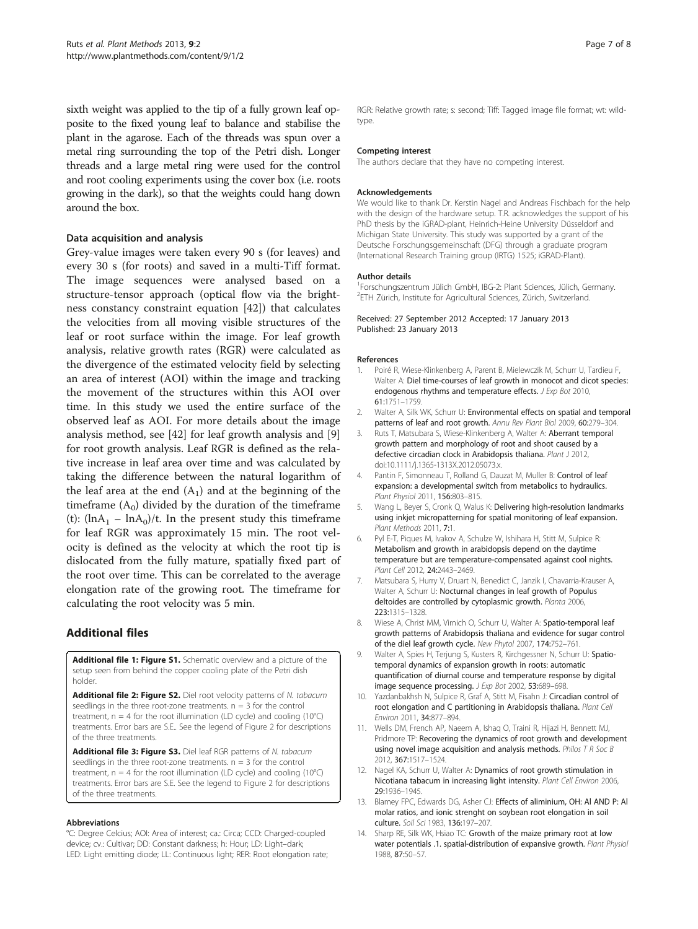<span id="page-6-0"></span>sixth weight was applied to the tip of a fully grown leaf opposite to the fixed young leaf to balance and stabilise the plant in the agarose. Each of the threads was spun over a metal ring surrounding the top of the Petri dish. Longer threads and a large metal ring were used for the control and root cooling experiments using the cover box (i.e. roots growing in the dark), so that the weights could hang down around the box.

#### Data acquisition and analysis

Grey-value images were taken every 90 s (for leaves) and every 30 s (for roots) and saved in a multi-Tiff format. The image sequences were analysed based on a structure-tensor approach (optical flow via the brightness constancy constraint equation [[42\]](#page-7-0)) that calculates the velocities from all moving visible structures of the leaf or root surface within the image. For leaf growth analysis, relative growth rates (RGR) were calculated as the divergence of the estimated velocity field by selecting an area of interest (AOI) within the image and tracking the movement of the structures within this AOI over time. In this study we used the entire surface of the observed leaf as AOI. For more details about the image analysis method, see [[42](#page-7-0)] for leaf growth analysis and [9] for root growth analysis. Leaf RGR is defined as the relative increase in leaf area over time and was calculated by taking the difference between the natural logarithm of the leaf area at the end  $(A_1)$  and at the beginning of the timeframe  $(A_0)$  divided by the duration of the timeframe (t):  $(lnA<sub>1</sub> - lnA<sub>0</sub>)/t$ . In the present study this timeframe for leaf RGR was approximately 15 min. The root velocity is defined as the velocity at which the root tip is dislocated from the fully mature, spatially fixed part of the root over time. This can be correlated to the average elongation rate of the growing root. The timeframe for calculating the root velocity was 5 min.

# Additional files

[Additional file 1: Figure S1.](http://www.biomedcentral.com/content/supplementary/1746-4811-9-2-S1.tiff) Schematic overview and a picture of the setup seen from behind the copper cooling plate of the Petri dish holder.

[Additional file 2: Figure S2.](http://www.biomedcentral.com/content/supplementary/1746-4811-9-2-S2.tiff) Diel root velocity patterns of N. tabacum seedlings in the three root-zone treatments.  $n = 3$  for the control treatment,  $n = 4$  for the root illumination (LD cycle) and cooling (10°C) treatments. Error bars are S.E.. See the legend of Figure 2 for descriptions of the three treatments.

[Additional file 3: Figure S3.](http://www.biomedcentral.com/content/supplementary/1746-4811-9-2-S3.tiff) Diel leaf RGR patterns of N. tabacum seedlings in the three root-zone treatments.  $n = 3$  for the control treatment,  $n = 4$  for the root illumination (LD cycle) and cooling (10°C) treatments. Error bars are S.E. See the legend to Figure 2 for descriptions of the three treatments.

#### Abbreviations

°C: Degree Celcius; AOI: Area of interest; ca.: Circa; CCD: Charged-coupled device; cv.: Cultivar; DD: Constant darkness; h: Hour; LD: Light–dark; LED: Light emitting diode; LL: Continuous light; RER: Root elongation rate; RGR: Relative growth rate; s: second; Tiff: Tagged image file format; wt: wildtype.

#### Competing interest

The authors declare that they have no competing interest.

#### Acknowledgements

We would like to thank Dr. Kerstin Nagel and Andreas Fischbach for the help with the design of the hardware setup. T.R. acknowledges the support of his PhD thesis by the iGRAD-plant, Heinrich-Heine University Düsseldorf and Michigan State University. This study was supported by a grant of the Deutsche Forschungsgemeinschaft (DFG) through a graduate program (International Research Training group (IRTG) 1525; iGRAD-Plant).

#### Author details

1 Forschungszentrum Jülich GmbH, IBG-2: Plant Sciences, Jülich, Germany. <sup>2</sup>ETH Zürich, Institute for Agricultural Sciences, Zürich, Switzerland

Received: 27 September 2012 Accepted: 17 January 2013 Published: 23 January 2013

#### References

- 1. Poiré R, Wiese-Klinkenberg A, Parent B, Mielewczik M, Schurr U, Tardieu F, Walter A: Diel time-courses of leaf growth in monocot and dicot species: endogenous rhythms and temperature effects. *J Exp Bot* 2010, 61:1751–1759.
- 2. Walter A, Silk WK, Schurr U: Environmental effects on spatial and temporal patterns of leaf and root growth. Annu Rev Plant Biol 2009, 60:279–304.
- 3. Ruts T, Matsubara S, Wiese-Klinkenberg A, Walter A: Aberrant temporal growth pattern and morphology of root and shoot caused by a defective circadian clock in Arabidopsis thaliana. Plant J 2012, doi[:10.1111/j.1365-1313X.2012.05073.x](http://dx.doi.org/10.1111/j.1365-1313X.2012.05073.x).
- 4. Pantin F, Simonneau T, Rolland G, Dauzat M, Muller B: Control of leaf expansion: a developmental switch from metabolics to hydraulics. Plant Physiol 2011, 156:803–815.
- 5. Wang L, Beyer S, Cronk Q, Walus K: Delivering high-resolution landmarks using inkjet micropatterning for spatial monitoring of leaf expansion. Plant Methods 2011, 7:1.
- Pyl E-T, Piques M, Ivakov A, Schulze W, Ishihara H, Stitt M, Sulpice R: Metabolism and growth in arabidopsis depend on the daytime temperature but are temperature-compensated against cool nights. Plant Cell 2012, 24:2443–2469.
- 7. Matsubara S, Hurry V, Druart N, Benedict C, Janzik I, Chavarria-Krauser A, Walter A, Schurr U: Nocturnal changes in leaf growth of Populus deltoides are controlled by cytoplasmic growth. Planta 2006, 223:1315–1328.
- 8. Wiese A, Christ MM, Virnich O, Schurr U, Walter A: Spatio-temporal leaf growth patterns of Arabidopsis thaliana and evidence for sugar control of the diel leaf growth cycle. New Phytol 2007, 174:752–761.
- 9. Walter A, Spies H, Terjung S, Kusters R, Kirchgessner N, Schurr U: Spatiotemporal dynamics of expansion growth in roots: automatic quantification of diurnal course and temperature response by digital image sequence processing. J Exp Bot 2002, 53:689-698.
- 10. Yazdanbakhsh N, Sulpice R, Graf A, Stitt M, Fisahn J: Circadian control of root elongation and C partitioning in Arabidopsis thaliana. Plant Cell Environ 2011, 34:877–894.
- 11. Wells DM, French AP, Naeem A, Ishaq O, Traini R, Hijazi H, Bennett MJ, Pridmore TP: Recovering the dynamics of root growth and development using novel image acquisition and analysis methods. Philos T R Soc B 2012, 367:1517–1524.
- 12. Nagel KA, Schurr U, Walter A: Dynamics of root growth stimulation in Nicotiana tabacum in increasing light intensity. Plant Cell Environ 2006, 29:1936–1945.
- 13. Blamey FPC, Edwards DG, Asher CJ: Effects of aliminium, OH: Al AND P: Al molar ratios, and ionic strenght on soybean root elongation in soil culture. Soil Sci 1983, 136:197–207.
- 14. Sharp RE, Silk WK, Hsiao TC: Growth of the maize primary root at low water potentials .1. spatial-distribution of expansive growth. Plant Physiol 1988, 87:50–57.